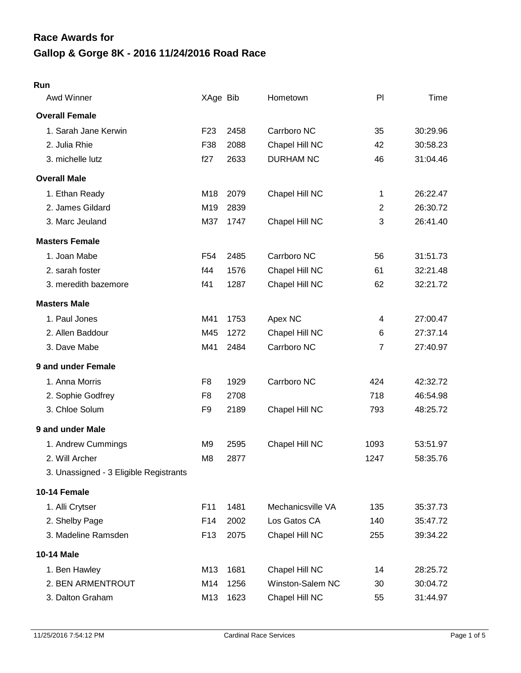# **Gallop & Gorge 8K - 2016 11/24/2016 Road Race Race Awards for**

#### **Run**

| Awd Winner                             | XAge Bib        |      | Hometown          | PI             | Time     |
|----------------------------------------|-----------------|------|-------------------|----------------|----------|
| <b>Overall Female</b>                  |                 |      |                   |                |          |
| 1. Sarah Jane Kerwin                   | F <sub>23</sub> | 2458 | Carrboro NC       | 35             | 30:29.96 |
| 2. Julia Rhie                          | F38             | 2088 | Chapel Hill NC    | 42             | 30:58.23 |
| 3. michelle lutz                       | f27             | 2633 | <b>DURHAM NC</b>  | 46             | 31:04.46 |
| <b>Overall Male</b>                    |                 |      |                   |                |          |
| 1. Ethan Ready                         | M18             | 2079 | Chapel Hill NC    | 1              | 26:22.47 |
| 2. James Gildard                       | M19             | 2839 |                   | $\overline{2}$ | 26:30.72 |
| 3. Marc Jeuland                        | M37             | 1747 | Chapel Hill NC    | 3              | 26:41.40 |
| <b>Masters Female</b>                  |                 |      |                   |                |          |
| 1. Joan Mabe                           | F <sub>54</sub> | 2485 | Carrboro NC       | 56             | 31:51.73 |
| 2. sarah foster                        | f44             | 1576 | Chapel Hill NC    | 61             | 32:21.48 |
| 3. meredith bazemore                   | f41             | 1287 | Chapel Hill NC    | 62             | 32:21.72 |
| <b>Masters Male</b>                    |                 |      |                   |                |          |
| 1. Paul Jones                          | M41             | 1753 | Apex NC           | 4              | 27:00.47 |
| 2. Allen Baddour                       | M45             | 1272 | Chapel Hill NC    | 6              | 27:37.14 |
| 3. Dave Mabe                           | M41             | 2484 | Carrboro NC       | $\overline{7}$ | 27:40.97 |
| 9 and under Female                     |                 |      |                   |                |          |
| 1. Anna Morris                         | F <sub>8</sub>  | 1929 | Carrboro NC       | 424            | 42:32.72 |
| 2. Sophie Godfrey                      | F <sub>8</sub>  | 2708 |                   | 718            | 46:54.98 |
| 3. Chloe Solum                         | F <sub>9</sub>  | 2189 | Chapel Hill NC    | 793            | 48:25.72 |
| 9 and under Male                       |                 |      |                   |                |          |
| 1. Andrew Cummings                     | M <sub>9</sub>  | 2595 | Chapel Hill NC    | 1093           | 53:51.97 |
| 2. Will Archer                         | M <sub>8</sub>  | 2877 |                   | 1247           | 58:35.76 |
| 3. Unassigned - 3 Eligible Registrants |                 |      |                   |                |          |
| 10-14 Female                           |                 |      |                   |                |          |
| 1. Alli Crytser                        | F11             | 1481 | Mechanicsville VA | 135            | 35:37.73 |
| 2. Shelby Page                         | F14             | 2002 | Los Gatos CA      | 140            | 35:47.72 |
| 3. Madeline Ramsden                    | F <sub>13</sub> | 2075 | Chapel Hill NC    | 255            | 39:34.22 |
| 10-14 Male                             |                 |      |                   |                |          |
| 1. Ben Hawley                          | M13             | 1681 | Chapel Hill NC    | 14             | 28:25.72 |
| 2. BEN ARMENTROUT                      | M14             | 1256 | Winston-Salem NC  | 30             | 30:04.72 |
| 3. Dalton Graham                       | M13             | 1623 | Chapel Hill NC    | 55             | 31:44.97 |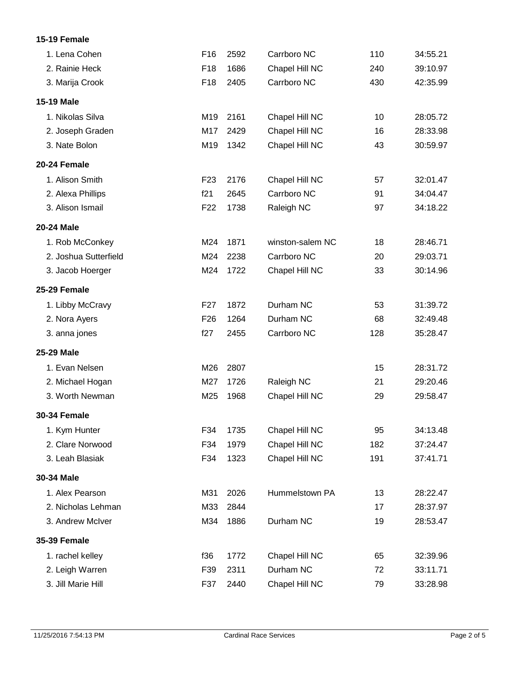### **15-19 Female**

| 1. Lena Cohen         | F16             | 2592 | Carrboro NC      | 110 | 34:55.21 |
|-----------------------|-----------------|------|------------------|-----|----------|
| 2. Rainie Heck        | F <sub>18</sub> | 1686 | Chapel Hill NC   | 240 | 39:10.97 |
| 3. Marija Crook       | F <sub>18</sub> | 2405 | Carrboro NC      | 430 | 42:35.99 |
| 15-19 Male            |                 |      |                  |     |          |
| 1. Nikolas Silva      | M19             | 2161 | Chapel Hill NC   | 10  | 28:05.72 |
| 2. Joseph Graden      | M17             | 2429 | Chapel Hill NC   | 16  | 28:33.98 |
| 3. Nate Bolon         | M19             | 1342 | Chapel Hill NC   | 43  | 30:59.97 |
| 20-24 Female          |                 |      |                  |     |          |
| 1. Alison Smith       | F <sub>23</sub> | 2176 | Chapel Hill NC   | 57  | 32:01.47 |
| 2. Alexa Phillips     | f21             | 2645 | Carrboro NC      | 91  | 34:04.47 |
| 3. Alison Ismail      | F <sub>22</sub> | 1738 | Raleigh NC       | 97  | 34:18.22 |
| 20-24 Male            |                 |      |                  |     |          |
| 1. Rob McConkey       | M24             | 1871 | winston-salem NC | 18  | 28:46.71 |
| 2. Joshua Sutterfield | M24             | 2238 | Carrboro NC      | 20  | 29:03.71 |
| 3. Jacob Hoerger      | M24             | 1722 | Chapel Hill NC   | 33  | 30:14.96 |
| 25-29 Female          |                 |      |                  |     |          |
| 1. Libby McCravy      | F <sub>27</sub> | 1872 | Durham NC        | 53  | 31:39.72 |
| 2. Nora Ayers         | F <sub>26</sub> | 1264 | Durham NC        | 68  | 32:49.48 |
| 3. anna jones         | f27             | 2455 | Carrboro NC      | 128 | 35:28.47 |
| 25-29 Male            |                 |      |                  |     |          |
| 1. Evan Nelsen        | M26             | 2807 |                  | 15  | 28:31.72 |
| 2. Michael Hogan      | M27             | 1726 | Raleigh NC       | 21  | 29:20.46 |
| 3. Worth Newman       | M25             | 1968 | Chapel Hill NC   | 29  | 29:58.47 |
| <b>30-34 Female</b>   |                 |      |                  |     |          |
| 1. Kym Hunter         | F34             | 1735 | Chapel Hill NC   | 95  | 34:13.48 |
| 2. Clare Norwood      | F34             | 1979 | Chapel Hill NC   | 182 | 37:24.47 |
| 3. Leah Blasiak       | F34             | 1323 | Chapel Hill NC   | 191 | 37:41.71 |
| 30-34 Male            |                 |      |                  |     |          |
| 1. Alex Pearson       | M31             | 2026 | Hummelstown PA   | 13  | 28:22.47 |
| 2. Nicholas Lehman    | M33             | 2844 |                  | 17  | 28:37.97 |
| 3. Andrew McIver      | M34             | 1886 | Durham NC        | 19  | 28:53.47 |
| <b>35-39 Female</b>   |                 |      |                  |     |          |
| 1. rachel kelley      | f36             | 1772 | Chapel Hill NC   | 65  | 32:39.96 |
| 2. Leigh Warren       | F39             | 2311 | Durham NC        | 72  | 33:11.71 |
| 3. Jill Marie Hill    | F37             | 2440 | Chapel Hill NC   | 79  | 33:28.98 |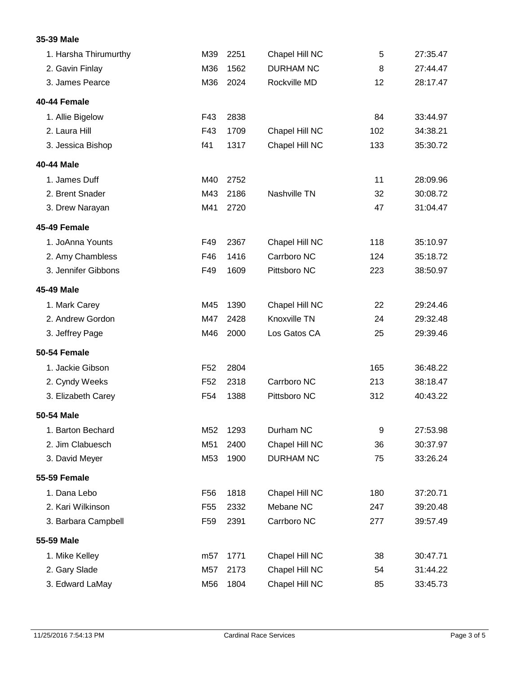### **35-39 Male**

| 1. Harsha Thirumurthy | M39             | 2251 | Chapel Hill NC   | 5   | 27:35.47 |
|-----------------------|-----------------|------|------------------|-----|----------|
| 2. Gavin Finlay       | M36             | 1562 | <b>DURHAM NC</b> | 8   | 27:44.47 |
| 3. James Pearce       | M36             | 2024 | Rockville MD     | 12  | 28:17.47 |
| 40-44 Female          |                 |      |                  |     |          |
| 1. Allie Bigelow      | F43             | 2838 |                  | 84  | 33:44.97 |
| 2. Laura Hill         | F43             | 1709 | Chapel Hill NC   | 102 | 34:38.21 |
| 3. Jessica Bishop     | f41             | 1317 | Chapel Hill NC   | 133 | 35:30.72 |
| 40-44 Male            |                 |      |                  |     |          |
| 1. James Duff         | M40             | 2752 |                  | 11  | 28:09.96 |
| 2. Brent Snader       | M43             | 2186 | Nashville TN     | 32  | 30:08.72 |
| 3. Drew Narayan       | M41             | 2720 |                  | 47  | 31:04.47 |
| 45-49 Female          |                 |      |                  |     |          |
| 1. JoAnna Younts      | F49             | 2367 | Chapel Hill NC   | 118 | 35:10.97 |
| 2. Amy Chambless      | F46             | 1416 | Carrboro NC      | 124 | 35:18.72 |
| 3. Jennifer Gibbons   | F49             | 1609 | Pittsboro NC     | 223 | 38:50.97 |
| 45-49 Male            |                 |      |                  |     |          |
| 1. Mark Carey         | M45             | 1390 | Chapel Hill NC   | 22  | 29:24.46 |
| 2. Andrew Gordon      | M47             | 2428 | Knoxville TN     | 24  | 29:32.48 |
| 3. Jeffrey Page       | M46             | 2000 | Los Gatos CA     | 25  | 29:39.46 |
| <b>50-54 Female</b>   |                 |      |                  |     |          |
| 1. Jackie Gibson      | F <sub>52</sub> | 2804 |                  | 165 | 36:48.22 |
| 2. Cyndy Weeks        | F <sub>52</sub> | 2318 | Carrboro NC      | 213 | 38:18.47 |
| 3. Elizabeth Carey    | F54             | 1388 | Pittsboro NC     | 312 | 40:43.22 |
| 50-54 Male            |                 |      |                  |     |          |
| 1. Barton Bechard     | M52             | 1293 | Durham NC        | 9   | 27:53.98 |
| 2. Jim Clabuesch      | M51             | 2400 | Chapel Hill NC   | 36  | 30:37.97 |
| 3. David Meyer        | M53             | 1900 | <b>DURHAM NC</b> | 75  | 33:26.24 |
| <b>55-59 Female</b>   |                 |      |                  |     |          |
| 1. Dana Lebo          | F <sub>56</sub> | 1818 | Chapel Hill NC   | 180 | 37:20.71 |
| 2. Kari Wilkinson     | F <sub>55</sub> | 2332 | Mebane NC        | 247 | 39:20.48 |
| 3. Barbara Campbell   | F <sub>59</sub> | 2391 | Carrboro NC      | 277 | 39:57.49 |
| 55-59 Male            |                 |      |                  |     |          |
| 1. Mike Kelley        | m57             | 1771 | Chapel Hill NC   | 38  | 30:47.71 |
| 2. Gary Slade         | M57             | 2173 | Chapel Hill NC   | 54  | 31:44.22 |
| 3. Edward LaMay       | M56             | 1804 | Chapel Hill NC   | 85  | 33:45.73 |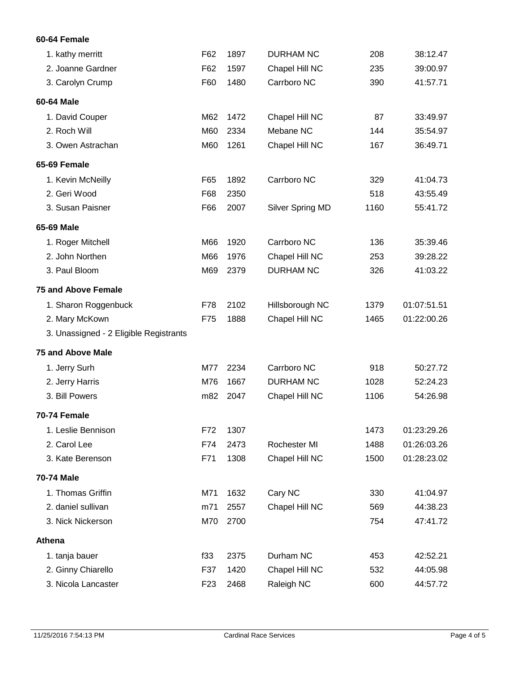### **60-64 Female**

| 1. kathy merritt                       | F62             | 1897 | <b>DURHAM NC</b> | 208  | 38:12.47    |
|----------------------------------------|-----------------|------|------------------|------|-------------|
| 2. Joanne Gardner                      | F62             | 1597 | Chapel Hill NC   | 235  | 39:00.97    |
| 3. Carolyn Crump                       | F60             | 1480 | Carrboro NC      | 390  | 41:57.71    |
| 60-64 Male                             |                 |      |                  |      |             |
| 1. David Couper                        | M62             | 1472 | Chapel Hill NC   | 87   | 33:49.97    |
| 2. Roch Will                           | M60             | 2334 | Mebane NC        | 144  | 35:54.97    |
| 3. Owen Astrachan                      | M60             | 1261 | Chapel Hill NC   | 167  | 36:49.71    |
| 65-69 Female                           |                 |      |                  |      |             |
| 1. Kevin McNeilly                      | F65             | 1892 | Carrboro NC      | 329  | 41:04.73    |
| 2. Geri Wood                           | F68             | 2350 |                  | 518  | 43:55.49    |
| 3. Susan Paisner                       | F66             | 2007 | Silver Spring MD | 1160 | 55:41.72    |
| 65-69 Male                             |                 |      |                  |      |             |
| 1. Roger Mitchell                      | M66             | 1920 | Carrboro NC      | 136  | 35:39.46    |
| 2. John Northen                        | M66             | 1976 | Chapel Hill NC   | 253  | 39:28.22    |
| 3. Paul Bloom                          | M69             | 2379 | <b>DURHAM NC</b> | 326  | 41:03.22    |
| <b>75 and Above Female</b>             |                 |      |                  |      |             |
| 1. Sharon Roggenbuck                   | F78             | 2102 | Hillsborough NC  | 1379 | 01:07:51.51 |
| 2. Mary McKown                         | F75             | 1888 | Chapel Hill NC   | 1465 | 01:22:00.26 |
| 3. Unassigned - 2 Eligible Registrants |                 |      |                  |      |             |
| <b>75 and Above Male</b>               |                 |      |                  |      |             |
| 1. Jerry Surh                          | M77             | 2234 | Carrboro NC      | 918  | 50:27.72    |
| 2. Jerry Harris                        | M76             | 1667 | <b>DURHAM NC</b> | 1028 | 52:24.23    |
| 3. Bill Powers                         | m82             | 2047 | Chapel Hill NC   | 1106 | 54:26.98    |
| 70-74 Female                           |                 |      |                  |      |             |
| 1. Leslie Bennison                     | F72             | 1307 |                  | 1473 | 01:23:29.26 |
| 2. Carol Lee                           | F74             | 2473 | Rochester MI     | 1488 | 01:26:03.26 |
| 3. Kate Berenson                       | F71             | 1308 | Chapel Hill NC   | 1500 | 01:28:23.02 |
| <b>70-74 Male</b>                      |                 |      |                  |      |             |
| 1. Thomas Griffin                      | M71             | 1632 | Cary NC          | 330  | 41:04.97    |
| 2. daniel sullivan                     | m71             | 2557 | Chapel Hill NC   | 569  | 44:38.23    |
| 3. Nick Nickerson                      | M70             | 2700 |                  | 754  | 47:41.72    |
| Athena                                 |                 |      |                  |      |             |
| 1. tanja bauer                         | f33             | 2375 | Durham NC        | 453  | 42:52.21    |
| 2. Ginny Chiarello                     | F37             | 1420 | Chapel Hill NC   | 532  | 44:05.98    |
| 3. Nicola Lancaster                    | F <sub>23</sub> | 2468 | Raleigh NC       | 600  | 44:57.72    |